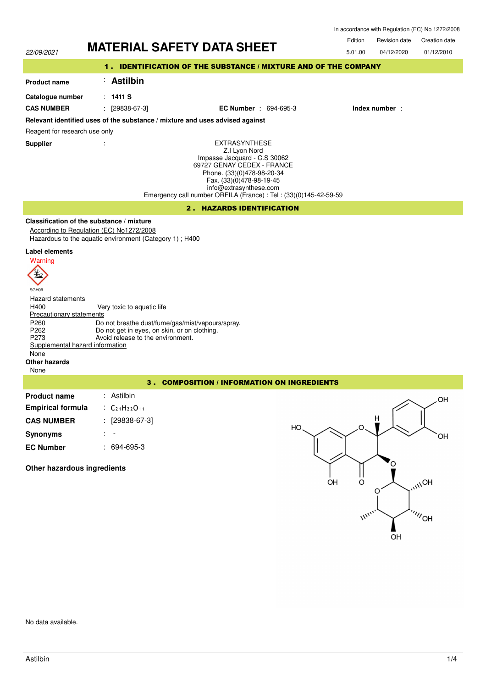In accordance with Regulation (EC) No 1272/2008



No data available.

Inc.

 $^{\prime\prime\prime}$ OH

OH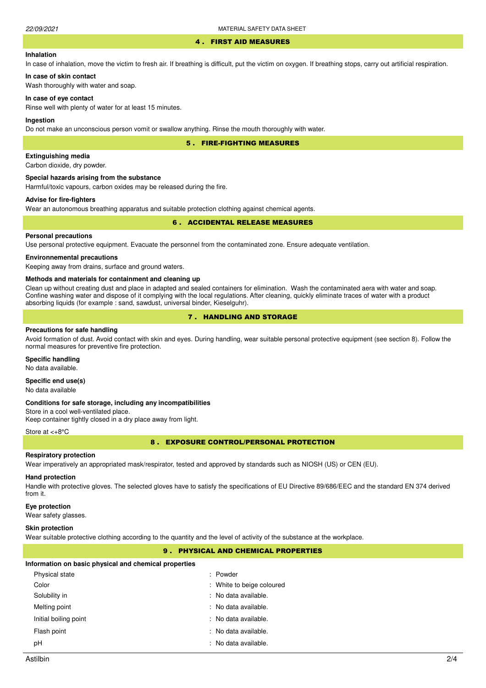#### 4 . FIRST AID MEASURES

### **Inhalation**

In case of inhalation, move the victim to fresh air. If breathing is difficult, put the victim on oxygen. If breathing stops, carry out artificial respiration.

# **In case of skin contact**

Wash thoroughly with water and soap.

#### **In case of eye contact**

Rinse well with plenty of water for at least 15 minutes.

#### **Ingestion**

Do not make an unconscious person vomit or swallow anything. Rinse the mouth thoroughly with water.

5 . FIRE-FIGHTING MEASURES

#### **Extinguishing media**

Carbon dioxide, dry powder.

#### **Special hazards arising from the substance**

Harmful/toxic vapours, carbon oxides may be released during the fire.

### **Advise for fire-fighters**

Wear an autonomous breathing apparatus and suitable protection clothing against chemical agents.

#### 6 . ACCIDENTAL RELEASE MEASURES

#### **Personal precautions**

Use personal protective equipment. Evacuate the personnel from the contaminated zone. Ensure adequate ventilation.

#### **Environnemental precautions**

Keeping away from drains, surface and ground waters.

#### **Methods and materials for containment and cleaning up**

Clean up without creating dust and place in adapted and sealed containers for elimination. Wash the contaminated aera with water and soap. Confine washing water and dispose of it complying with the local regulations. After cleaning, quickly eliminate traces of water with a product absorbing liquids (for example : sand, sawdust, universal binder, Kieselguhr).

# 7 . HANDLING AND STORAGE

#### **Precautions for safe handling**

Avoid formation of dust. Avoid contact with skin and eyes. During handling, wear suitable personal protective equipment (see section 8). Follow the normal measures for preventive fire protection.

#### **Specific handling**

No data available.

# **Specific end use(s)**

No data available

#### **Conditions for safe storage, including any incompatibilities**

Store in a cool well-ventilated place. Keep container tightly closed in a dry place away from light.

#### Store at <+8°C

8 . EXPOSURE CONTROL/PERSONAL PROTECTION

#### **Respiratory protection**

Wear imperatively an appropriated mask/respirator, tested and approved by standards such as NIOSH (US) or CEN (EU).

# **Hand protection**

Handle with protective gloves. The selected gloves have to satisfy the specifications of EU Directive 89/686/EEC and the standard EN 374 derived from it.

#### **Eye protection**

Wear safety glasses.

#### **Skin protection**

Wear suitable protective clothing according to the quantity and the level of activity of the substance at the workplace.

# 9 . PHYSICAL AND CHEMICAL PROPERTIES

#### **Information on basic physical and chemical properties**

| Physical state        | : Powder                  |
|-----------------------|---------------------------|
| Color                 | : White to beige coloured |
| Solubility in         | : No data available.      |
| Melting point         | : No data available.      |
| Initial boiling point | : No data available.      |
| Flash point           | : No data available.      |
| рH                    | : No data available.      |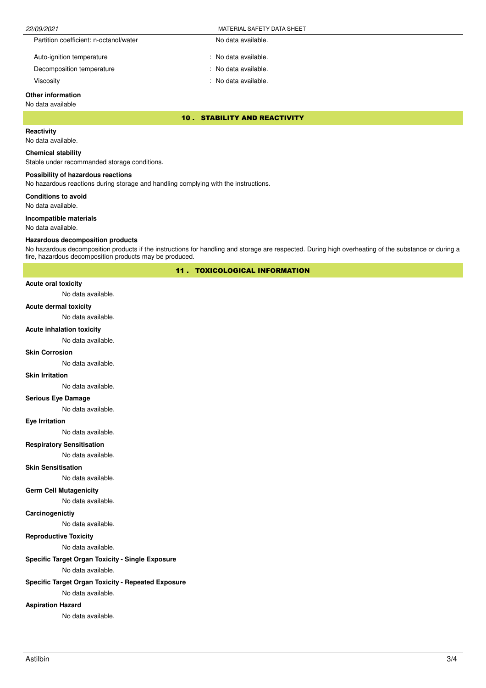| 22/09/2021                             | MATERIAL SAFETY DATA SHEET |  |
|----------------------------------------|----------------------------|--|
| Partition coefficient: n-octanol/water | No data available.         |  |
| Auto-ignition temperature              | No data available.         |  |

Decomposition temperature No data available.

Viscosity : No data available.

# **Other information**

# No data available

10 . STABILITY AND REACTIVITY

# **Reactivity**

No data available.

#### **Chemical stability**

Stable under recommanded storage conditions.

#### **Possibility of hazardous reactions**

No hazardous reactions during storage and handling complying with the instructions.

**Conditions to avoid**

No data available.

#### **Incompatible materials**

No data available.

#### **Hazardous decomposition products**

No hazardous decomposition products if the instructions for handling and storage are respected. During high overheating of the substance or during a fire, hazardous decomposition products may be produced.

11 . TOXICOLOGICAL INFORMATION

### **Acute oral toxicity**

No data available.

#### **Acute dermal toxicity**

No data available.

#### **Acute inhalation toxicity**

No data available.

#### **Skin Corrosion**

No data available.

#### **Skin Irritation**

No data available.

#### **Serious Eye Damage**

No data available.

#### **Eye Irritation**

No data available.

# **Respiratory Sensitisation**

No data available.

### **Skin Sensitisation**

No data available.

#### **Germ Cell Mutagenicity**

No data available.

# **Carcinogenictiy**

No data available.

# **Reproductive Toxicity**

No data available.

# **Specific Target Organ Toxicity - Single Exposure**

No data available.

# **Specific Target Organ Toxicity - Repeated Exposure**

No data available.

# **Aspiration Hazard**

No data available.